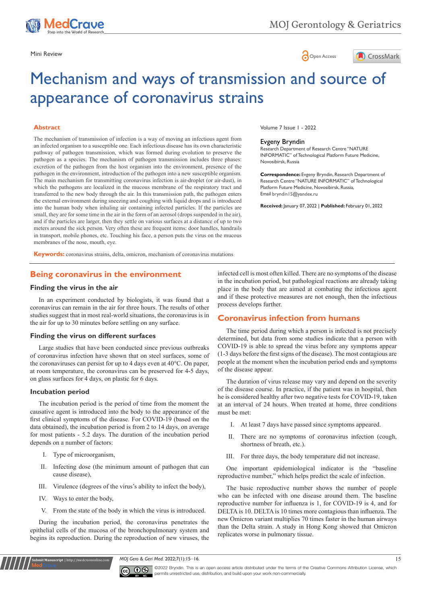

# Mini Review **Open Access**



# Mechanism and ways of transmission and source of appearance of coronavirus strains

#### **Abstract**

The mechanism of transmission of infection is a way of moving an infectious agent from an infected organism to a susceptible one. Each infectious disease has its own characteristic pathway of pathogen transmission, which was formed during evolution to preserve the pathogen as a species. The mechanism of pathogen transmission includes three phases: excretion of the pathogen from the host organism into the environment, presence of the pathogen in the environment, introduction of the pathogen into a new susceptible organism. The main mechanism for transmitting coronavirus infection is air-droplet (or air-dust), in which the pathogens are localized in the mucous membrane of the respiratory tract and transferred to the new body through the air. In this transmission path, the pathogen enters the external environment during sneezing and coughing with liquid drops and is introduced into the human body when inhaling air containing infected particles. If the particles are small, they are for some time in the air in the form of an aerosol (drops suspended in the air), and if the particles are larger, then they settle on various surfaces at a distance of up to two meters around the sick person. Very often these are frequent items: door handles, handrails in transport, mobile phones, etc. Touching his face, a person puts the virus on the mucous membranes of the nose, mouth, eye.

Volume 7 Issue 1 - 2022

#### Evgeny Bryndin

Research Department of Research Centre "NATURE INFORMATIC" of Technological Platform Future Medicine, Novosibirsk, Russia

**Correspondence:** Evgeny Bryndin, Research Department of Research Centre "NATURE INFORMATIC" of Technological Platform Future Medicine, Novosibirsk, Russia, Email bryndin I 5@yandex.ru

**Received:** January 07, 2022 | **Published:** February 01, 2022

**Keywords:** coronavirus strains, delta, omicron, mechanism of coronavirus mutations

### **Being coronavirus in the environment**

#### **Finding the virus in the air**

In an experiment conducted by biologists, it was found that a coronavirus can remain in the air for three hours. The results of other studies suggest that in most real-world situations, the coronavirus is in the air for up to 30 minutes before settling on any surface.

#### **Finding the virus on different surfaces**

Large studies that have been conducted since previous outbreaks of coronavirus infection have shown that on steel surfaces, some of the coronaviruses can persist for up to 4 days even at 40°C. On paper, at room temperature, the coronavirus can be preserved for 4-5 days, on glass surfaces for 4 days, on plastic for 6 days.

#### **Incubation period**

The incubation period is the period of time from the moment the causative agent is introduced into the body to the appearance of the first clinical symptoms of the disease. For COVID-19 (based on the data obtained), the incubation period is from 2 to 14 days, on average for most patients - 5.2 days. The duration of the incubation period depends on a number of factors:

- I. Type of microorganism,
- II. Infecting dose (the minimum amount of pathogen that can cause disease),
- III. Virulence (degrees of the virus's ability to infect the body),
- IV. Ways to enter the body,

**Kubmit Manuscript** | http://medcraveonline.c

V. From the state of the body in which the virus is introduced.

During the incubation period, the coronavirus penetrates the epithelial cells of the mucosa of the bronchopulmonary system and begins its reproduction. During the reproduction of new viruses, the infected cell is most often killed. There are no symptoms of the disease in the incubation period, but pathological reactions are already taking place in the body that are aimed at combating the infectious agent and if these protective measures are not enough, then the infectious process develops further.

# **Coronavirus infection from humans**

The time period during which a person is infected is not precisely determined, but data from some studies indicate that a person with COVID-19 is able to spread the virus before any symptoms appear (1-3 days before the first signs of the disease). The most contagious are people at the moment when the incubation period ends and symptoms of the disease appear.

The duration of virus release may vary and depend on the severity of the disease course. In practice, if the patient was in hospital, then he is considered healthy after two negative tests for COVID-19, taken at an interval of 24 hours. When treated at home, three conditions must be met:

- I. At least 7 days have passed since symptoms appeared.
- II. There are no symptoms of coronavirus infection (cough, shortness of breath, etc.).
- III. For three days, the body temperature did not increase.

One important epidemiological indicator is the "baseline reproductive number," which helps predict the scale of infection.

The basic reproductive number shows the number of people who can be infected with one disease around them. The baseline reproductive number for influenza is 1, for COVID-19 is 4, and for DELTA is 10. DELTA is 10 times more contagious than influenza. The new Omicron variant multiplies 70 times faster in the human airways than the Delta strain. A study in Hong Kong showed that Omicron replicates worse in pulmonary tissue.

*MOJ Gero & Geri Med.* 2022;7(1):15‒16. 15



©2022 Bryndin. This is an open access article distributed under the terms of the [Creative Commons Attribution License](https://creativecommons.org/licenses/by-nc/4.0/), which permits unrestricted use, distribution, and build upon your work non-commercially.